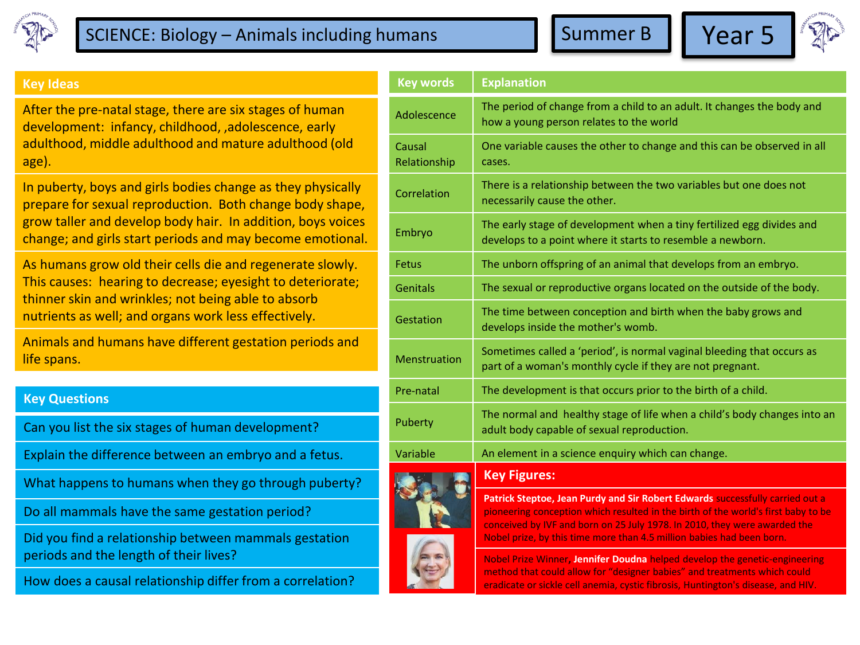

## SCIENCE: Biology – Animals including humans  $\blacksquare$  Summer B  $\blacksquare$  Year 5





## **Key Ideas**

After the pre-natal stage, there are six stages of human development: infancy, childhood, ,adolescence, early adulthood, middle adulthood and mature adulthood (old age).

In puberty, boys and girls bodies change as they physically prepare for sexual reproduction. Both change body shape, grow taller and develop body hair. In addition, boys voices change; and girls start periods and may become emotional.

As humans grow old their cells die and regenerate slowly. This causes: hearing to decrease; eyesight to deteriorate; thinner skin and wrinkles; not being able to absorb nutrients as well; and organs work less effectively.

Animals and humans have different gestation periods and life spans.

## **Key Questions**

Can you list the six stages of human development?

Explain the difference between an embryo and a fetus.

What happens to humans when they go through puberty?

Do all mammals have the same gestation period?

Did you find a relationship between mammals gestation periods and the length of their lives?

How does a causal relationship differ from a correlation?

| <b>Key words</b>       | <b>Explanation</b>                                                                                                                                                                                                                                                                                                       |  |  |
|------------------------|--------------------------------------------------------------------------------------------------------------------------------------------------------------------------------------------------------------------------------------------------------------------------------------------------------------------------|--|--|
| Adolescence            | The period of change from a child to an adult. It changes the body and<br>how a young person relates to the world                                                                                                                                                                                                        |  |  |
| Causal<br>Relationship | One variable causes the other to change and this can be observed in all<br>cases.                                                                                                                                                                                                                                        |  |  |
| Correlation            | There is a relationship between the two variables but one does not<br>necessarily cause the other.                                                                                                                                                                                                                       |  |  |
| Embryo                 | The early stage of development when a tiny fertilized egg divides and<br>develops to a point where it starts to resemble a newborn.                                                                                                                                                                                      |  |  |
| Fetus                  | The unborn offspring of an animal that develops from an embryo.                                                                                                                                                                                                                                                          |  |  |
| <b>Genitals</b>        | The sexual or reproductive organs located on the outside of the body.                                                                                                                                                                                                                                                    |  |  |
| Gestation              | The time between conception and birth when the baby grows and<br>develops inside the mother's womb.                                                                                                                                                                                                                      |  |  |
| <b>Menstruation</b>    | Sometimes called a 'period', is normal vaginal bleeding that occurs as<br>part of a woman's monthly cycle if they are not pregnant.                                                                                                                                                                                      |  |  |
| Pre-natal              | The development is that occurs prior to the birth of a child.                                                                                                                                                                                                                                                            |  |  |
| Puberty                | The normal and healthy stage of life when a child's body changes into an<br>adult body capable of sexual reproduction.                                                                                                                                                                                                   |  |  |
| Variable               | An element in a science enquiry which can change.                                                                                                                                                                                                                                                                        |  |  |
|                        | <b>Key Figures:</b>                                                                                                                                                                                                                                                                                                      |  |  |
|                        | Patrick Steptoe, Jean Purdy and Sir Robert Edwards successfully carried out a<br>pioneering conception which resulted in the birth of the world's first baby to be<br>conceived by IVF and born on 25 July 1978. In 2010, they were awarded the<br>Nobel prize, by this time more than 4.5 million babies had been born. |  |  |



Nobel Prize Winner**, Jennifer Doudna** helped develop the genetic-engineering method that could allow for "designer babies" and treatments which could eradicate or sickle cell anemia, cystic fibrosis, Huntington's disease, and HIV.